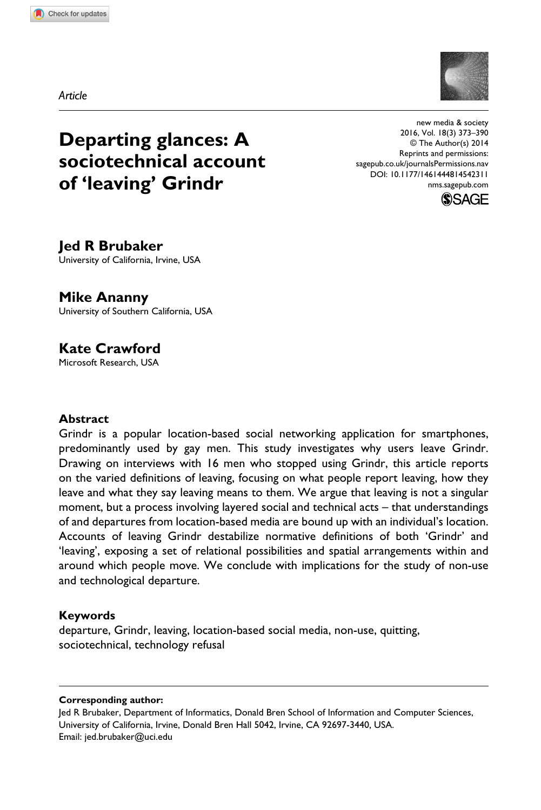**5423[11](http://crossmark.crossref.org/dialog/?doi=10.1177%2F1461444814542311&domain=pdf&date_stamp=2014-07-07)** NMS0010.1177/1461444814542311new media & society**Brubaker et al.**

*Article*



# **Departing glances: A sociotechnical account of 'leaving' Grindr**

new media & society 2016, Vol. 18(3) 373–390 © The Author(s) 2014 Reprints and permissions: sagepub.co.uk/journalsPermissions.nav DOI: 10.1177/1461444814542311 nms.sagepub.com



# **Jed R Brubaker**

University of California, Irvine, USA

## **Mike Ananny**

University of Southern California, USA

# **Kate Crawford**

Microsoft Research, USA

#### **Abstract**

Grindr is a popular location-based social networking application for smartphones, predominantly used by gay men. This study investigates why users leave Grindr. Drawing on interviews with 16 men who stopped using Grindr, this article reports on the varied definitions of leaving, focusing on what people report leaving, how they leave and what they say leaving means to them. We argue that leaving is not a singular moment, but a process involving layered social and technical acts – that understandings of and departures from location-based media are bound up with an individual's location. Accounts of leaving Grindr destabilize normative definitions of both 'Grindr' and 'leaving', exposing a set of relational possibilities and spatial arrangements within and around which people move. We conclude with implications for the study of non-use and technological departure.

#### **Keywords**

departure, Grindr, leaving, location-based social media, non-use, quitting, sociotechnical, technology refusal

#### **Corresponding author:**

Jed R Brubaker, Department of Informatics, Donald Bren School of Information and Computer Sciences, University of California, Irvine, Donald Bren Hall 5042, Irvine, CA 92697-3440, USA. Email: jed.brubaker@uci.edu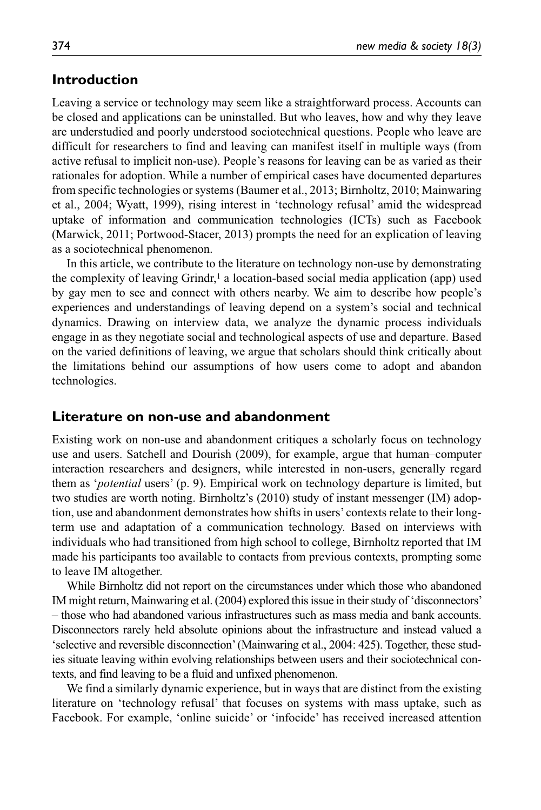#### **Introduction**

Leaving a service or technology may seem like a straightforward process. Accounts can be closed and applications can be uninstalled. But who leaves, how and why they leave are understudied and poorly understood sociotechnical questions. People who leave are difficult for researchers to find and leaving can manifest itself in multiple ways (from active refusal to implicit non-use). People's reasons for leaving can be as varied as their rationales for adoption. While a number of empirical cases have documented departures from specific technologies or systems (Baumer et al., 2013; Birnholtz, 2010; Mainwaring et al., 2004; Wyatt, 1999), rising interest in 'technology refusal' amid the widespread uptake of information and communication technologies (ICTs) such as Facebook (Marwick, 2011; Portwood-Stacer, 2013) prompts the need for an explication of leaving as a sociotechnical phenomenon.

In this article, we contribute to the literature on technology non-use by demonstrating the complexity of leaving Grindr,<sup>1</sup> a location-based social media application (app) used by gay men to see and connect with others nearby. We aim to describe how people's experiences and understandings of leaving depend on a system's social and technical dynamics. Drawing on interview data, we analyze the dynamic process individuals engage in as they negotiate social and technological aspects of use and departure. Based on the varied definitions of leaving, we argue that scholars should think critically about the limitations behind our assumptions of how users come to adopt and abandon technologies.

#### **Literature on non-use and abandonment**

Existing work on non-use and abandonment critiques a scholarly focus on technology use and users. Satchell and Dourish (2009), for example, argue that human–computer interaction researchers and designers, while interested in non-users, generally regard them as '*potential* users' (p. 9). Empirical work on technology departure is limited, but two studies are worth noting. Birnholtz's (2010) study of instant messenger (IM) adoption, use and abandonment demonstrates how shifts in users' contexts relate to their longterm use and adaptation of a communication technology. Based on interviews with individuals who had transitioned from high school to college, Birnholtz reported that IM made his participants too available to contacts from previous contexts, prompting some to leave IM altogether.

While Birnholtz did not report on the circumstances under which those who abandoned IM might return, Mainwaring et al. (2004) explored this issue in their study of 'disconnectors' – those who had abandoned various infrastructures such as mass media and bank accounts. Disconnectors rarely held absolute opinions about the infrastructure and instead valued a 'selective and reversible disconnection' (Mainwaring et al., 2004: 425). Together, these studies situate leaving within evolving relationships between users and their sociotechnical contexts, and find leaving to be a fluid and unfixed phenomenon.

We find a similarly dynamic experience, but in ways that are distinct from the existing literature on 'technology refusal' that focuses on systems with mass uptake, such as Facebook. For example, 'online suicide' or 'infocide' has received increased attention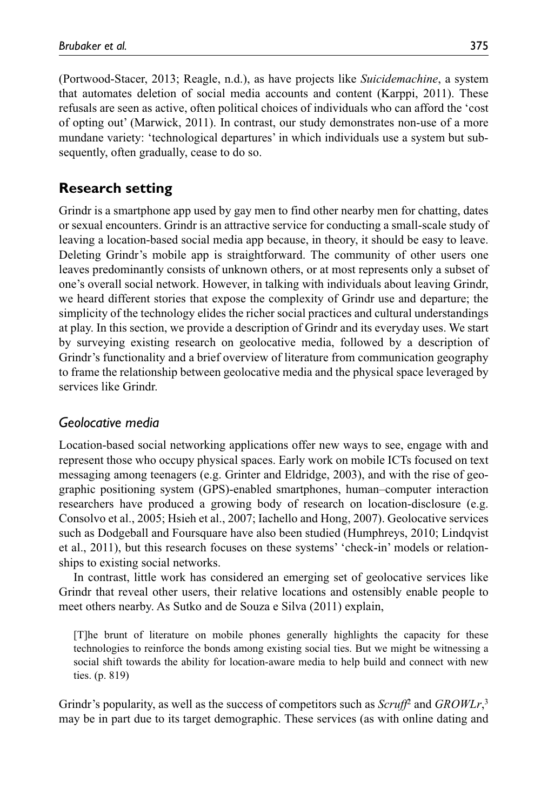(Portwood-Stacer, 2013; Reagle, n.d.), as have projects like *Suicidemachine*, a system that automates deletion of social media accounts and content (Karppi, 2011). These refusals are seen as active, often political choices of individuals who can afford the 'cost of opting out' (Marwick, 2011). In contrast, our study demonstrates non-use of a more mundane variety: 'technological departures' in which individuals use a system but subsequently, often gradually, cease to do so.

# **Research setting**

Grindr is a smartphone app used by gay men to find other nearby men for chatting, dates or sexual encounters. Grindr is an attractive service for conducting a small-scale study of leaving a location-based social media app because, in theory, it should be easy to leave. Deleting Grindr's mobile app is straightforward. The community of other users one leaves predominantly consists of unknown others, or at most represents only a subset of one's overall social network. However, in talking with individuals about leaving Grindr, we heard different stories that expose the complexity of Grindr use and departure; the simplicity of the technology elides the richer social practices and cultural understandings at play. In this section, we provide a description of Grindr and its everyday uses. We start by surveying existing research on geolocative media, followed by a description of Grindr's functionality and a brief overview of literature from communication geography to frame the relationship between geolocative media and the physical space leveraged by services like Grindr.

## *Geolocative media*

Location-based social networking applications offer new ways to see, engage with and represent those who occupy physical spaces. Early work on mobile ICTs focused on text messaging among teenagers (e.g. Grinter and Eldridge, 2003), and with the rise of geographic positioning system (GPS)-enabled smartphones, human–computer interaction researchers have produced a growing body of research on location-disclosure (e.g. Consolvo et al., 2005; Hsieh et al., 2007; Iachello and Hong, 2007). Geolocative services such as Dodgeball and Foursquare have also been studied (Humphreys, 2010; Lindqvist et al., 2011), but this research focuses on these systems' 'check-in' models or relationships to existing social networks.

In contrast, little work has considered an emerging set of geolocative services like Grindr that reveal other users, their relative locations and ostensibly enable people to meet others nearby. As Sutko and de Souza e Silva (2011) explain,

[T]he brunt of literature on mobile phones generally highlights the capacity for these technologies to reinforce the bonds among existing social ties. But we might be witnessing a social shift towards the ability for location-aware media to help build and connect with new ties. (p. 819)

Grindr's popularity, as well as the success of competitors such as *Scruff*2 and *GROWLr*, 3 may be in part due to its target demographic. These services (as with online dating and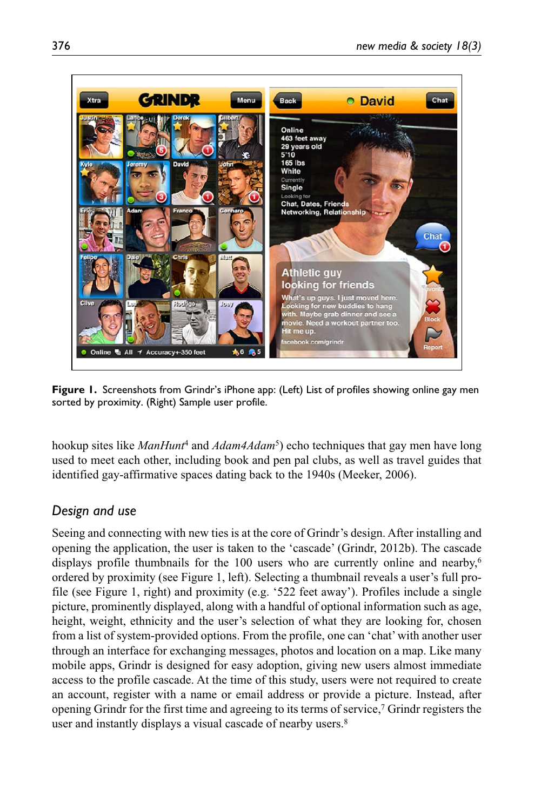

**Figure 1.** Screenshots from Grindr's iPhone app: (Left) List of profiles showing online gay men sorted by proximity. (Right) Sample user profile.

hookup sites like *ManHunt*4 and *Adam4Adam*5) echo techniques that gay men have long used to meet each other, including book and pen pal clubs, as well as travel guides that identified gay-affirmative spaces dating back to the 1940s (Meeker, 2006).

# *Design and use*

Seeing and connecting with new ties is at the core of Grindr's design. After installing and opening the application, the user is taken to the 'cascade' (Grindr, 2012b). The cascade displays profile thumbnails for the 100 users who are currently online and nearby,<sup>6</sup> ordered by proximity (see Figure 1, left). Selecting a thumbnail reveals a user's full profile (see Figure 1, right) and proximity (e.g. '522 feet away'). Profiles include a single picture, prominently displayed, along with a handful of optional information such as age, height, weight, ethnicity and the user's selection of what they are looking for, chosen from a list of system-provided options. From the profile, one can 'chat' with another user through an interface for exchanging messages, photos and location on a map. Like many mobile apps, Grindr is designed for easy adoption, giving new users almost immediate access to the profile cascade. At the time of this study, users were not required to create an account, register with a name or email address or provide a picture. Instead, after opening Grindr for the first time and agreeing to its terms of service,7 Grindr registers the user and instantly displays a visual cascade of nearby users.<sup>8</sup>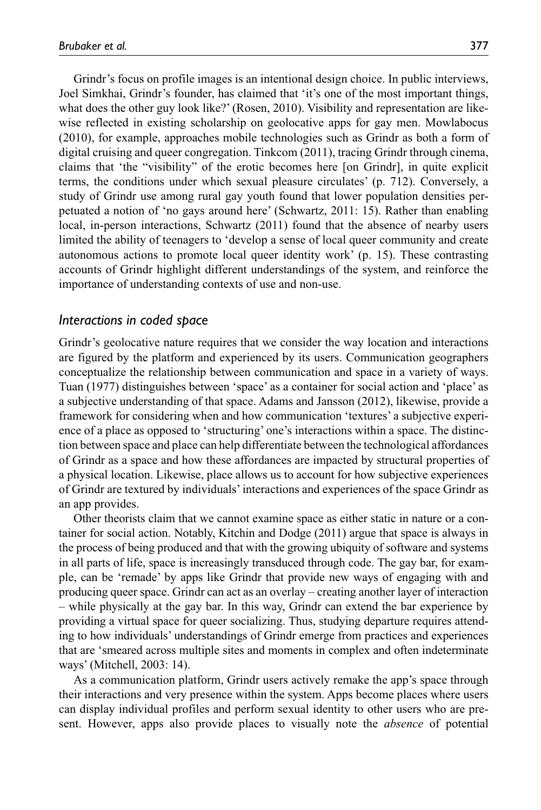Grindr's focus on profile images is an intentional design choice. In public interviews, Joel Simkhai, Grindr's founder, has claimed that 'it's one of the most important things, what does the other guy look like?' (Rosen, 2010). Visibility and representation are likewise reflected in existing scholarship on geolocative apps for gay men. Mowlabocus (2010), for example, approaches mobile technologies such as Grindr as both a form of

digital cruising and queer congregation. Tinkcom (2011), tracing Grindr through cinema, claims that 'the "visibility" of the erotic becomes here [on Grindr], in quite explicit terms, the conditions under which sexual pleasure circulates' (p. 712). Conversely, a study of Grindr use among rural gay youth found that lower population densities perpetuated a notion of 'no gays around here' (Schwartz, 2011: 15). Rather than enabling local, in-person interactions, Schwartz (2011) found that the absence of nearby users limited the ability of teenagers to 'develop a sense of local queer community and create autonomous actions to promote local queer identity work' (p. 15). These contrasting accounts of Grindr highlight different understandings of the system, and reinforce the importance of understanding contexts of use and non-use.

#### *Interactions in coded space*

Grindr's geolocative nature requires that we consider the way location and interactions are figured by the platform and experienced by its users. Communication geographers conceptualize the relationship between communication and space in a variety of ways. Tuan (1977) distinguishes between 'space' as a container for social action and 'place' as a subjective understanding of that space. Adams and Jansson (2012), likewise, provide a framework for considering when and how communication 'textures' a subjective experience of a place as opposed to 'structuring' one's interactions within a space. The distinction between space and place can help differentiate between the technological affordances of Grindr as a space and how these affordances are impacted by structural properties of a physical location. Likewise, place allows us to account for how subjective experiences of Grindr are textured by individuals' interactions and experiences of the space Grindr as an app provides.

Other theorists claim that we cannot examine space as either static in nature or a container for social action. Notably, Kitchin and Dodge (2011) argue that space is always in the process of being produced and that with the growing ubiquity of software and systems in all parts of life, space is increasingly transduced through code. The gay bar, for example, can be 'remade' by apps like Grindr that provide new ways of engaging with and producing queer space. Grindr can act as an overlay – creating another layer of interaction – while physically at the gay bar. In this way, Grindr can extend the bar experience by providing a virtual space for queer socializing. Thus, studying departure requires attending to how individuals' understandings of Grindr emerge from practices and experiences that are 'smeared across multiple sites and moments in complex and often indeterminate ways' (Mitchell, 2003: 14).

As a communication platform, Grindr users actively remake the app's space through their interactions and very presence within the system. Apps become places where users can display individual profiles and perform sexual identity to other users who are present. However, apps also provide places to visually note the *absence* of potential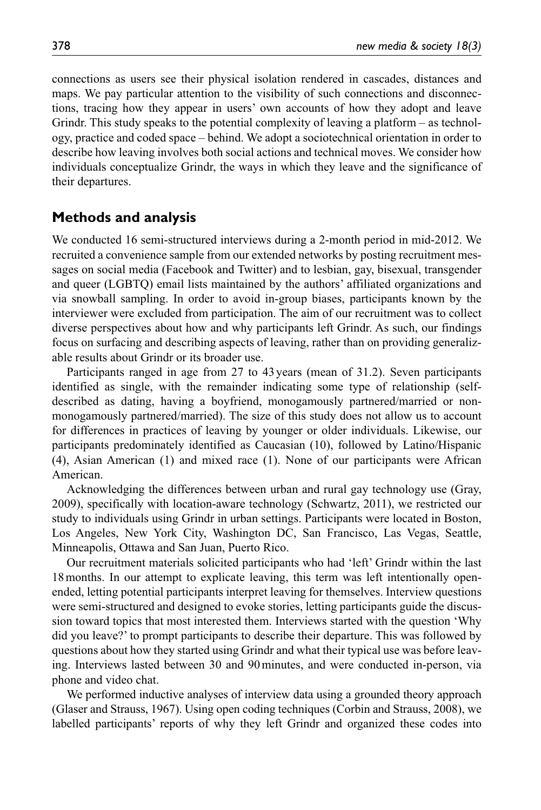connections as users see their physical isolation rendered in cascades, distances and maps. We pay particular attention to the visibility of such connections and disconnections, tracing how they appear in users' own accounts of how they adopt and leave Grindr. This study speaks to the potential complexity of leaving a platform – as technology, practice and coded space – behind. We adopt a sociotechnical orientation in order to describe how leaving involves both social actions and technical moves. We consider how individuals conceptualize Grindr, the ways in which they leave and the significance of their departures.

## **Methods and analysis**

We conducted 16 semi-structured interviews during a 2-month period in mid-2012. We recruited a convenience sample from our extended networks by posting recruitment messages on social media (Facebook and Twitter) and to lesbian, gay, bisexual, transgender and queer (LGBTQ) email lists maintained by the authors' affiliated organizations and via snowball sampling. In order to avoid in-group biases, participants known by the interviewer were excluded from participation. The aim of our recruitment was to collect diverse perspectives about how and why participants left Grindr. As such, our findings focus on surfacing and describing aspects of leaving, rather than on providing generalizable results about Grindr or its broader use.

Participants ranged in age from 27 to 43years (mean of 31.2). Seven participants identified as single, with the remainder indicating some type of relationship (selfdescribed as dating, having a boyfriend, monogamously partnered/married or nonmonogamously partnered/married). The size of this study does not allow us to account for differences in practices of leaving by younger or older individuals. Likewise, our participants predominately identified as Caucasian (10), followed by Latino/Hispanic (4), Asian American (1) and mixed race (1). None of our participants were African American.

Acknowledging the differences between urban and rural gay technology use (Gray, 2009), specifically with location-aware technology (Schwartz, 2011), we restricted our study to individuals using Grindr in urban settings. Participants were located in Boston, Los Angeles, New York City, Washington DC, San Francisco, Las Vegas, Seattle, Minneapolis, Ottawa and San Juan, Puerto Rico.

Our recruitment materials solicited participants who had 'left' Grindr within the last 18months. In our attempt to explicate leaving, this term was left intentionally openended, letting potential participants interpret leaving for themselves. Interview questions were semi-structured and designed to evoke stories, letting participants guide the discussion toward topics that most interested them. Interviews started with the question 'Why did you leave?' to prompt participants to describe their departure. This was followed by questions about how they started using Grindr and what their typical use was before leaving. Interviews lasted between 30 and 90minutes, and were conducted in-person, via phone and video chat.

We performed inductive analyses of interview data using a grounded theory approach (Glaser and Strauss, 1967). Using open coding techniques (Corbin and Strauss, 2008), we labelled participants' reports of why they left Grindr and organized these codes into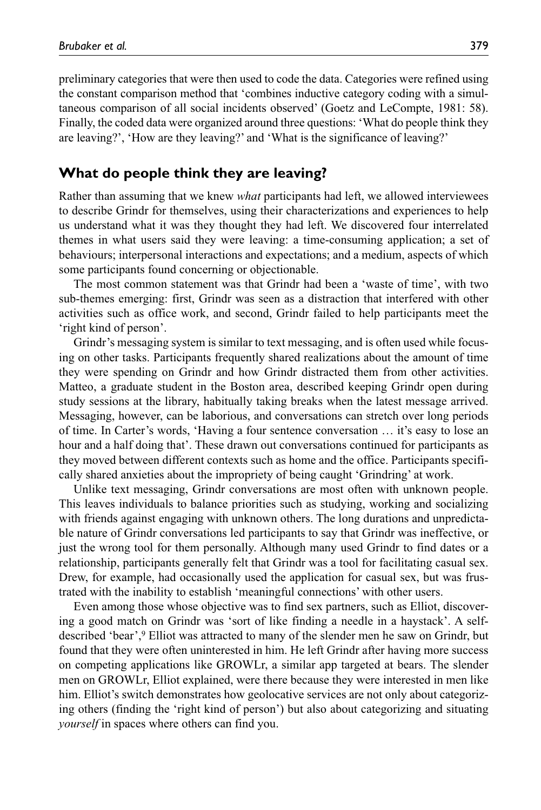preliminary categories that were then used to code the data. Categories were refined using the constant comparison method that 'combines inductive category coding with a simultaneous comparison of all social incidents observed' (Goetz and LeCompte, 1981: 58). Finally, the coded data were organized around three questions: 'What do people think they are leaving?', 'How are they leaving?' and 'What is the significance of leaving?'

#### **What do people think they are leaving?**

Rather than assuming that we knew *what* participants had left, we allowed interviewees to describe Grindr for themselves, using their characterizations and experiences to help us understand what it was they thought they had left. We discovered four interrelated themes in what users said they were leaving: a time-consuming application; a set of behaviours; interpersonal interactions and expectations; and a medium, aspects of which some participants found concerning or objectionable.

The most common statement was that Grindr had been a 'waste of time', with two sub-themes emerging: first, Grindr was seen as a distraction that interfered with other activities such as office work, and second, Grindr failed to help participants meet the 'right kind of person'.

Grindr's messaging system is similar to text messaging, and is often used while focusing on other tasks. Participants frequently shared realizations about the amount of time they were spending on Grindr and how Grindr distracted them from other activities. Matteo, a graduate student in the Boston area, described keeping Grindr open during study sessions at the library, habitually taking breaks when the latest message arrived. Messaging, however, can be laborious, and conversations can stretch over long periods of time. In Carter's words, 'Having a four sentence conversation … it's easy to lose an hour and a half doing that'. These drawn out conversations continued for participants as they moved between different contexts such as home and the office. Participants specifically shared anxieties about the impropriety of being caught 'Grindring' at work.

Unlike text messaging, Grindr conversations are most often with unknown people. This leaves individuals to balance priorities such as studying, working and socializing with friends against engaging with unknown others. The long durations and unpredictable nature of Grindr conversations led participants to say that Grindr was ineffective, or just the wrong tool for them personally. Although many used Grindr to find dates or a relationship, participants generally felt that Grindr was a tool for facilitating casual sex. Drew, for example, had occasionally used the application for casual sex, but was frustrated with the inability to establish 'meaningful connections' with other users.

Even among those whose objective was to find sex partners, such as Elliot, discovering a good match on Grindr was 'sort of like finding a needle in a haystack'. A selfdescribed 'bear',9 Elliot was attracted to many of the slender men he saw on Grindr, but found that they were often uninterested in him. He left Grindr after having more success on competing applications like GROWLr, a similar app targeted at bears. The slender men on GROWLr, Elliot explained, were there because they were interested in men like him. Elliot's switch demonstrates how geolocative services are not only about categorizing others (finding the 'right kind of person') but also about categorizing and situating *yourself* in spaces where others can find you.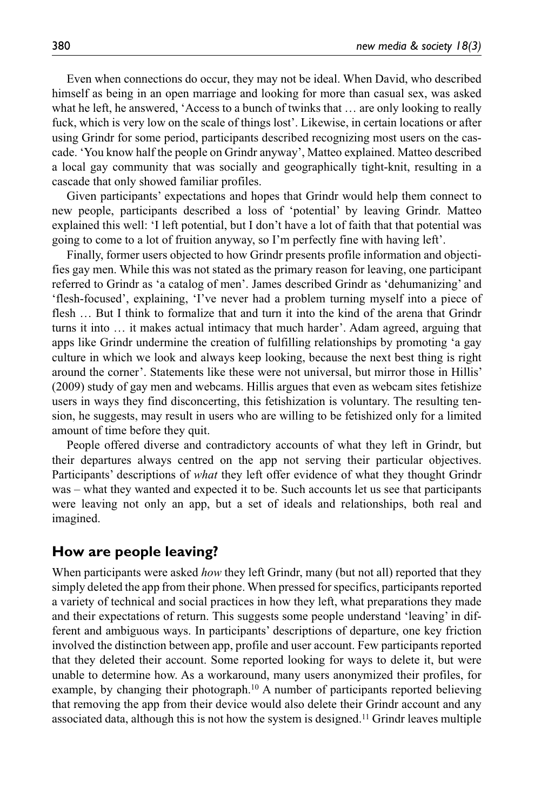Even when connections do occur, they may not be ideal. When David, who described himself as being in an open marriage and looking for more than casual sex, was asked what he left, he answered, 'Access to a bunch of twinks that … are only looking to really fuck, which is very low on the scale of things lost'. Likewise, in certain locations or after using Grindr for some period, participants described recognizing most users on the cascade. 'You know half the people on Grindr anyway', Matteo explained. Matteo described a local gay community that was socially and geographically tight-knit, resulting in a cascade that only showed familiar profiles.

Given participants' expectations and hopes that Grindr would help them connect to new people, participants described a loss of 'potential' by leaving Grindr. Matteo explained this well: 'I left potential, but I don't have a lot of faith that that potential was going to come to a lot of fruition anyway, so I'm perfectly fine with having left'.

Finally, former users objected to how Grindr presents profile information and objectifies gay men. While this was not stated as the primary reason for leaving, one participant referred to Grindr as 'a catalog of men'. James described Grindr as 'dehumanizing' and 'flesh-focused', explaining, 'I've never had a problem turning myself into a piece of flesh ... But I think to formalize that and turn it into the kind of the arena that Grindr turns it into … it makes actual intimacy that much harder'. Adam agreed, arguing that apps like Grindr undermine the creation of fulfilling relationships by promoting 'a gay culture in which we look and always keep looking, because the next best thing is right around the corner'. Statements like these were not universal, but mirror those in Hillis' (2009) study of gay men and webcams. Hillis argues that even as webcam sites fetishize users in ways they find disconcerting, this fetishization is voluntary. The resulting tension, he suggests, may result in users who are willing to be fetishized only for a limited amount of time before they quit.

People offered diverse and contradictory accounts of what they left in Grindr, but their departures always centred on the app not serving their particular objectives. Participants' descriptions of *what* they left offer evidence of what they thought Grindr was – what they wanted and expected it to be. Such accounts let us see that participants were leaving not only an app, but a set of ideals and relationships, both real and imagined.

## **How are people leaving?**

When participants were asked *how* they left Grindr, many (but not all) reported that they simply deleted the app from their phone. When pressed for specifics, participants reported a variety of technical and social practices in how they left, what preparations they made and their expectations of return. This suggests some people understand 'leaving' in different and ambiguous ways. In participants' descriptions of departure, one key friction involved the distinction between app, profile and user account. Few participants reported that they deleted their account. Some reported looking for ways to delete it, but were unable to determine how. As a workaround, many users anonymized their profiles, for example, by changing their photograph.10 A number of participants reported believing that removing the app from their device would also delete their Grindr account and any associated data, although this is not how the system is designed.11 Grindr leaves multiple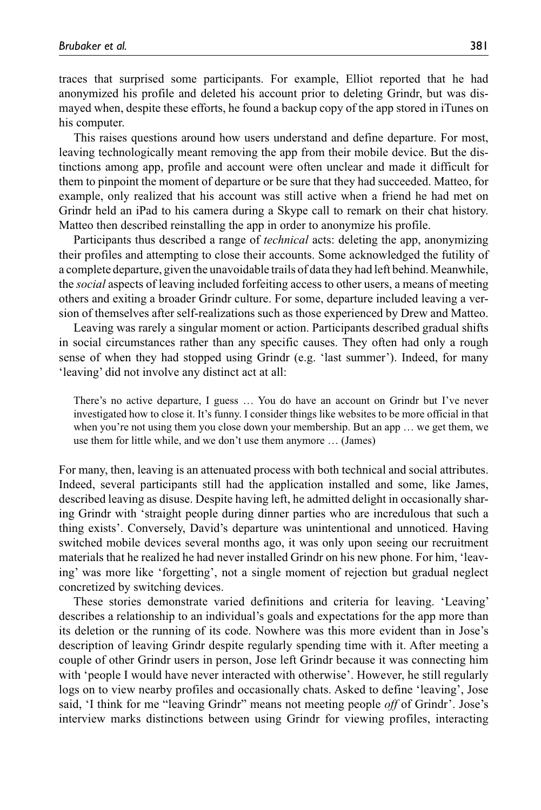traces that surprised some participants. For example, Elliot reported that he had anonymized his profile and deleted his account prior to deleting Grindr, but was dismayed when, despite these efforts, he found a backup copy of the app stored in iTunes on his computer.

This raises questions around how users understand and define departure. For most, leaving technologically meant removing the app from their mobile device. But the distinctions among app, profile and account were often unclear and made it difficult for them to pinpoint the moment of departure or be sure that they had succeeded. Matteo, for example, only realized that his account was still active when a friend he had met on Grindr held an iPad to his camera during a Skype call to remark on their chat history. Matteo then described reinstalling the app in order to anonymize his profile.

Participants thus described a range of *technical* acts: deleting the app, anonymizing their profiles and attempting to close their accounts. Some acknowledged the futility of a complete departure, given the unavoidable trails of data they had left behind. Meanwhile, the *social* aspects of leaving included forfeiting access to other users, a means of meeting others and exiting a broader Grindr culture. For some, departure included leaving a version of themselves after self-realizations such as those experienced by Drew and Matteo.

Leaving was rarely a singular moment or action. Participants described gradual shifts in social circumstances rather than any specific causes. They often had only a rough sense of when they had stopped using Grindr (e.g. 'last summer'). Indeed, for many 'leaving' did not involve any distinct act at all:

There's no active departure, I guess … You do have an account on Grindr but I've never investigated how to close it. It's funny. I consider things like websites to be more official in that when you're not using them you close down your membership. But an app … we get them, we use them for little while, and we don't use them anymore … (James)

For many, then, leaving is an attenuated process with both technical and social attributes. Indeed, several participants still had the application installed and some, like James, described leaving as disuse. Despite having left, he admitted delight in occasionally sharing Grindr with 'straight people during dinner parties who are incredulous that such a thing exists'. Conversely, David's departure was unintentional and unnoticed. Having switched mobile devices several months ago, it was only upon seeing our recruitment materials that he realized he had never installed Grindr on his new phone. For him, 'leaving' was more like 'forgetting', not a single moment of rejection but gradual neglect concretized by switching devices.

These stories demonstrate varied definitions and criteria for leaving. 'Leaving' describes a relationship to an individual's goals and expectations for the app more than its deletion or the running of its code. Nowhere was this more evident than in Jose's description of leaving Grindr despite regularly spending time with it. After meeting a couple of other Grindr users in person, Jose left Grindr because it was connecting him with 'people I would have never interacted with otherwise'. However, he still regularly logs on to view nearby profiles and occasionally chats. Asked to define 'leaving', Jose said, 'I think for me "leaving Grindr" means not meeting people *off* of Grindr'. Jose's interview marks distinctions between using Grindr for viewing profiles, interacting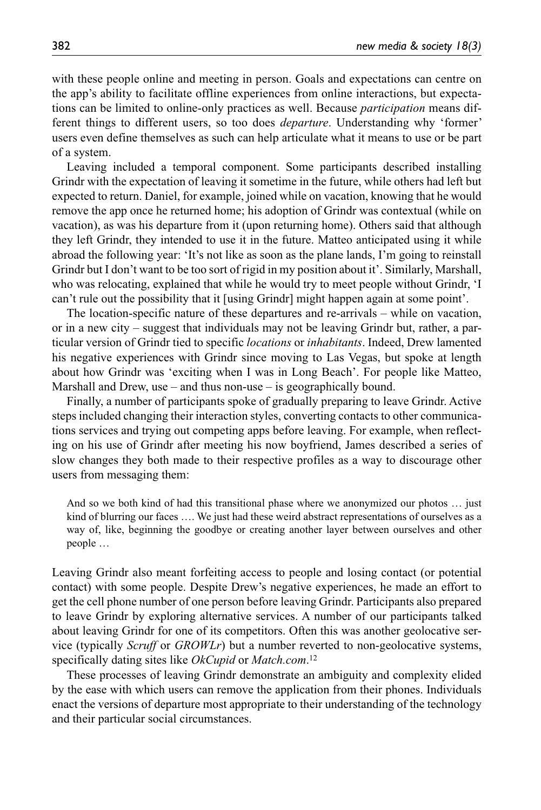with these people online and meeting in person. Goals and expectations can centre on the app's ability to facilitate offline experiences from online interactions, but expectations can be limited to online-only practices as well. Because *participation* means different things to different users, so too does *departure*. Understanding why 'former' users even define themselves as such can help articulate what it means to use or be part of a system.

Leaving included a temporal component. Some participants described installing Grindr with the expectation of leaving it sometime in the future, while others had left but expected to return. Daniel, for example, joined while on vacation, knowing that he would remove the app once he returned home; his adoption of Grindr was contextual (while on vacation), as was his departure from it (upon returning home). Others said that although they left Grindr, they intended to use it in the future. Matteo anticipated using it while abroad the following year: 'It's not like as soon as the plane lands, I'm going to reinstall Grindr but I don't want to be too sort of rigid in my position about it'. Similarly, Marshall, who was relocating, explained that while he would try to meet people without Grindr, 'I can't rule out the possibility that it [using Grindr] might happen again at some point'.

The location-specific nature of these departures and re-arrivals – while on vacation, or in a new city – suggest that individuals may not be leaving Grindr but, rather, a particular version of Grindr tied to specific *locations* or *inhabitants*. Indeed, Drew lamented his negative experiences with Grindr since moving to Las Vegas, but spoke at length about how Grindr was 'exciting when I was in Long Beach'. For people like Matteo, Marshall and Drew, use – and thus non-use – is geographically bound.

Finally, a number of participants spoke of gradually preparing to leave Grindr. Active steps included changing their interaction styles, converting contacts to other communications services and trying out competing apps before leaving. For example, when reflecting on his use of Grindr after meeting his now boyfriend, James described a series of slow changes they both made to their respective profiles as a way to discourage other users from messaging them:

And so we both kind of had this transitional phase where we anonymized our photos … just kind of blurring our faces .... We just had these weird abstract representations of ourselves as a way of, like, beginning the goodbye or creating another layer between ourselves and other people …

Leaving Grindr also meant forfeiting access to people and losing contact (or potential contact) with some people. Despite Drew's negative experiences, he made an effort to get the cell phone number of one person before leaving Grindr. Participants also prepared to leave Grindr by exploring alternative services. A number of our participants talked about leaving Grindr for one of its competitors. Often this was another geolocative service (typically *Scruff* or *GROWLr*) but a number reverted to non-geolocative systems, specifically dating sites like *OkCupid* or *Match.com*. 12

These processes of leaving Grindr demonstrate an ambiguity and complexity elided by the ease with which users can remove the application from their phones. Individuals enact the versions of departure most appropriate to their understanding of the technology and their particular social circumstances.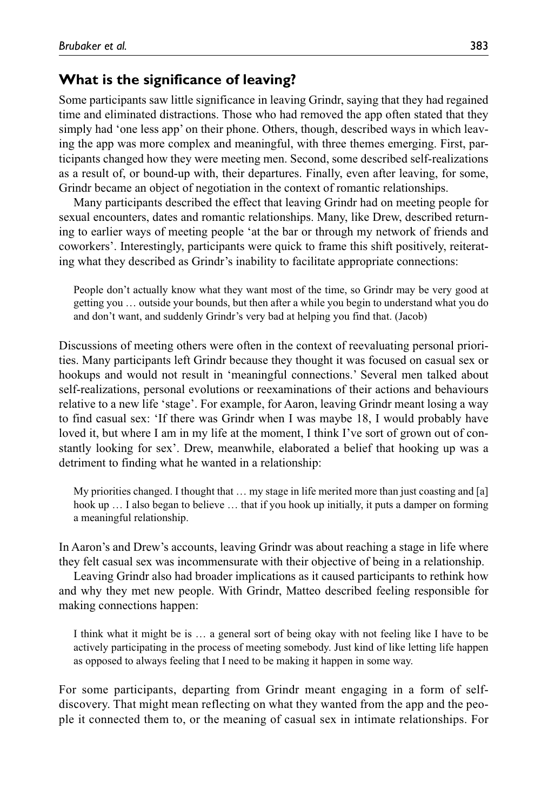# **What is the significance of leaving?**

Some participants saw little significance in leaving Grindr, saying that they had regained time and eliminated distractions. Those who had removed the app often stated that they simply had 'one less app' on their phone. Others, though, described ways in which leaving the app was more complex and meaningful, with three themes emerging. First, participants changed how they were meeting men. Second, some described self-realizations as a result of, or bound-up with, their departures. Finally, even after leaving, for some, Grindr became an object of negotiation in the context of romantic relationships.

Many participants described the effect that leaving Grindr had on meeting people for sexual encounters, dates and romantic relationships. Many, like Drew, described returning to earlier ways of meeting people 'at the bar or through my network of friends and coworkers'. Interestingly, participants were quick to frame this shift positively, reiterating what they described as Grindr's inability to facilitate appropriate connections:

People don't actually know what they want most of the time, so Grindr may be very good at getting you … outside your bounds, but then after a while you begin to understand what you do and don't want, and suddenly Grindr's very bad at helping you find that. (Jacob)

Discussions of meeting others were often in the context of reevaluating personal priorities. Many participants left Grindr because they thought it was focused on casual sex or hookups and would not result in 'meaningful connections.' Several men talked about self-realizations, personal evolutions or reexaminations of their actions and behaviours relative to a new life 'stage'. For example, for Aaron, leaving Grindr meant losing a way to find casual sex: 'If there was Grindr when I was maybe 18, I would probably have loved it, but where I am in my life at the moment, I think I've sort of grown out of constantly looking for sex'. Drew, meanwhile, elaborated a belief that hooking up was a detriment to finding what he wanted in a relationship:

My priorities changed. I thought that … my stage in life merited more than just coasting and [a] hook up ... I also began to believe ... that if you hook up initially, it puts a damper on forming a meaningful relationship.

In Aaron's and Drew's accounts, leaving Grindr was about reaching a stage in life where they felt casual sex was incommensurate with their objective of being in a relationship.

Leaving Grindr also had broader implications as it caused participants to rethink how and why they met new people. With Grindr, Matteo described feeling responsible for making connections happen:

I think what it might be is … a general sort of being okay with not feeling like I have to be actively participating in the process of meeting somebody. Just kind of like letting life happen as opposed to always feeling that I need to be making it happen in some way.

For some participants, departing from Grindr meant engaging in a form of selfdiscovery. That might mean reflecting on what they wanted from the app and the people it connected them to, or the meaning of casual sex in intimate relationships. For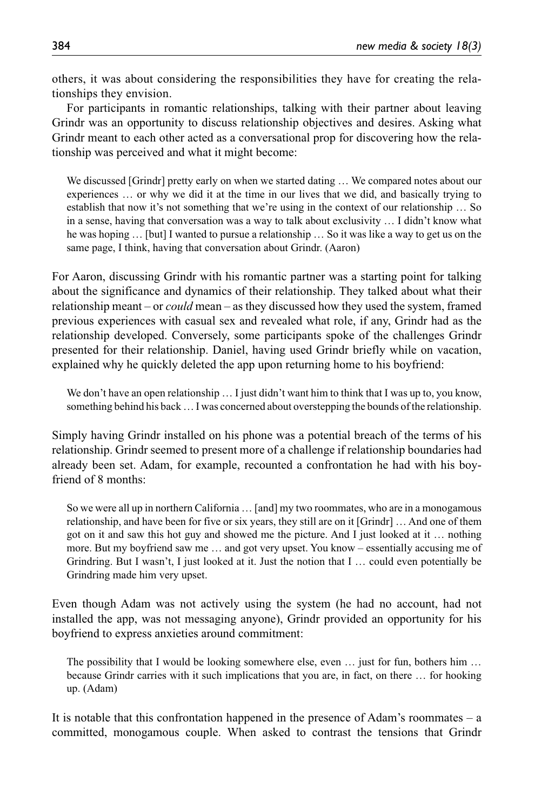others, it was about considering the responsibilities they have for creating the relationships they envision.

For participants in romantic relationships, talking with their partner about leaving Grindr was an opportunity to discuss relationship objectives and desires. Asking what Grindr meant to each other acted as a conversational prop for discovering how the relationship was perceived and what it might become:

We discussed [Grindr] pretty early on when we started dating ... We compared notes about our experiences … or why we did it at the time in our lives that we did, and basically trying to establish that now it's not something that we're using in the context of our relationship … So in a sense, having that conversation was a way to talk about exclusivity … I didn't know what he was hoping … [but] I wanted to pursue a relationship … So it was like a way to get us on the same page, I think, having that conversation about Grindr. (Aaron)

For Aaron, discussing Grindr with his romantic partner was a starting point for talking about the significance and dynamics of their relationship. They talked about what their relationship meant – or *could* mean – as they discussed how they used the system, framed previous experiences with casual sex and revealed what role, if any, Grindr had as the relationship developed. Conversely, some participants spoke of the challenges Grindr presented for their relationship. Daniel, having used Grindr briefly while on vacation, explained why he quickly deleted the app upon returning home to his boyfriend:

We don't have an open relationship ... I just didn't want him to think that I was up to, you know, something behind his back … I was concerned about overstepping the bounds of the relationship.

Simply having Grindr installed on his phone was a potential breach of the terms of his relationship. Grindr seemed to present more of a challenge if relationship boundaries had already been set. Adam, for example, recounted a confrontation he had with his boyfriend of 8 months:

So we were all up in northern California … [and] my two roommates, who are in a monogamous relationship, and have been for five or six years, they still are on it [Grindr] … And one of them got on it and saw this hot guy and showed me the picture. And I just looked at it … nothing more. But my boyfriend saw me … and got very upset. You know – essentially accusing me of Grindring. But I wasn't, I just looked at it. Just the notion that I … could even potentially be Grindring made him very upset.

Even though Adam was not actively using the system (he had no account, had not installed the app, was not messaging anyone), Grindr provided an opportunity for his boyfriend to express anxieties around commitment:

The possibility that I would be looking somewhere else, even … just for fun, bothers him … because Grindr carries with it such implications that you are, in fact, on there … for hooking up. (Adam)

It is notable that this confrontation happened in the presence of Adam's roommates – a committed, monogamous couple. When asked to contrast the tensions that Grindr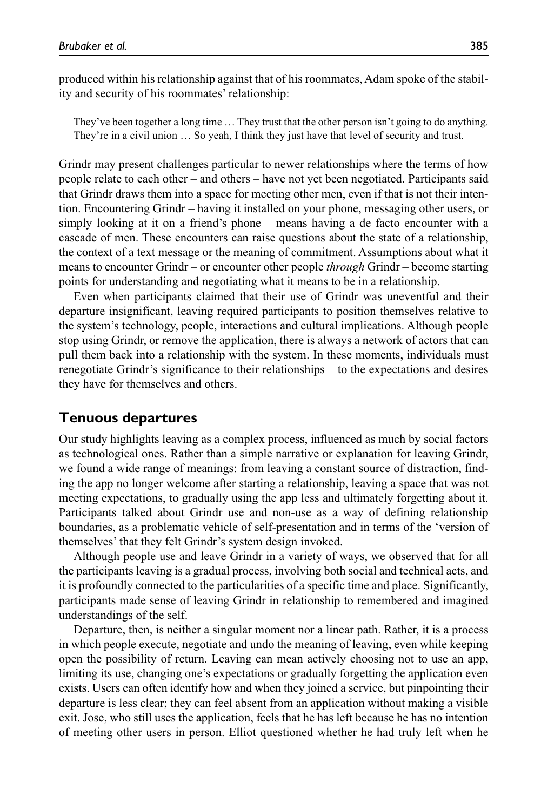produced within his relationship against that of his roommates, Adam spoke of the stability and security of his roommates' relationship:

They've been together a long time … They trust that the other person isn't going to do anything. They're in a civil union … So yeah, I think they just have that level of security and trust.

Grindr may present challenges particular to newer relationships where the terms of how people relate to each other – and others – have not yet been negotiated. Participants said that Grindr draws them into a space for meeting other men, even if that is not their intention. Encountering Grindr – having it installed on your phone, messaging other users, or simply looking at it on a friend's phone – means having a de facto encounter with a cascade of men. These encounters can raise questions about the state of a relationship, the context of a text message or the meaning of commitment. Assumptions about what it means to encounter Grindr – or encounter other people *through* Grindr – become starting points for understanding and negotiating what it means to be in a relationship.

Even when participants claimed that their use of Grindr was uneventful and their departure insignificant, leaving required participants to position themselves relative to the system's technology, people, interactions and cultural implications. Although people stop using Grindr, or remove the application, there is always a network of actors that can pull them back into a relationship with the system. In these moments, individuals must renegotiate Grindr's significance to their relationships – to the expectations and desires they have for themselves and others.

## **Tenuous departures**

Our study highlights leaving as a complex process, influenced as much by social factors as technological ones. Rather than a simple narrative or explanation for leaving Grindr, we found a wide range of meanings: from leaving a constant source of distraction, finding the app no longer welcome after starting a relationship, leaving a space that was not meeting expectations, to gradually using the app less and ultimately forgetting about it. Participants talked about Grindr use and non-use as a way of defining relationship boundaries, as a problematic vehicle of self-presentation and in terms of the 'version of themselves' that they felt Grindr's system design invoked.

Although people use and leave Grindr in a variety of ways, we observed that for all the participants leaving is a gradual process, involving both social and technical acts, and it is profoundly connected to the particularities of a specific time and place. Significantly, participants made sense of leaving Grindr in relationship to remembered and imagined understandings of the self.

Departure, then, is neither a singular moment nor a linear path. Rather, it is a process in which people execute, negotiate and undo the meaning of leaving, even while keeping open the possibility of return. Leaving can mean actively choosing not to use an app, limiting its use, changing one's expectations or gradually forgetting the application even exists. Users can often identify how and when they joined a service, but pinpointing their departure is less clear; they can feel absent from an application without making a visible exit. Jose, who still uses the application, feels that he has left because he has no intention of meeting other users in person. Elliot questioned whether he had truly left when he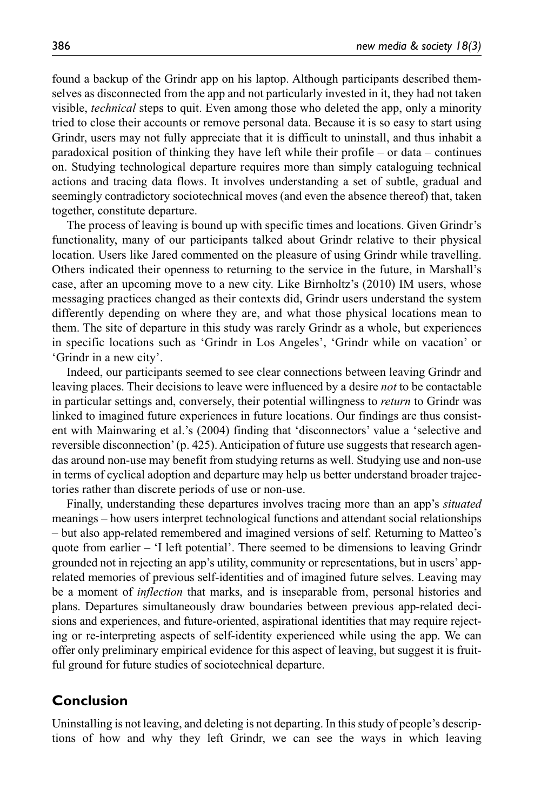found a backup of the Grindr app on his laptop. Although participants described themselves as disconnected from the app and not particularly invested in it, they had not taken visible, *technical* steps to quit. Even among those who deleted the app, only a minority tried to close their accounts or remove personal data. Because it is so easy to start using Grindr, users may not fully appreciate that it is difficult to uninstall, and thus inhabit a paradoxical position of thinking they have left while their profile – or data – continues on. Studying technological departure requires more than simply cataloguing technical actions and tracing data flows. It involves understanding a set of subtle, gradual and seemingly contradictory sociotechnical moves (and even the absence thereof) that, taken together, constitute departure.

The process of leaving is bound up with specific times and locations. Given Grindr's functionality, many of our participants talked about Grindr relative to their physical location. Users like Jared commented on the pleasure of using Grindr while travelling. Others indicated their openness to returning to the service in the future, in Marshall's case, after an upcoming move to a new city. Like Birnholtz's (2010) IM users, whose messaging practices changed as their contexts did, Grindr users understand the system differently depending on where they are, and what those physical locations mean to them. The site of departure in this study was rarely Grindr as a whole, but experiences in specific locations such as 'Grindr in Los Angeles', 'Grindr while on vacation' or 'Grindr in a new city'.

Indeed, our participants seemed to see clear connections between leaving Grindr and leaving places. Their decisions to leave were influenced by a desire *not* to be contactable in particular settings and, conversely, their potential willingness to *return* to Grindr was linked to imagined future experiences in future locations. Our findings are thus consistent with Mainwaring et al.'s (2004) finding that 'disconnectors' value a 'selective and reversible disconnection' (p. 425). Anticipation of future use suggests that research agendas around non-use may benefit from studying returns as well. Studying use and non-use in terms of cyclical adoption and departure may help us better understand broader trajectories rather than discrete periods of use or non-use.

Finally, understanding these departures involves tracing more than an app's *situated* meanings – how users interpret technological functions and attendant social relationships – but also app-related remembered and imagined versions of self. Returning to Matteo's quote from earlier – 'I left potential'. There seemed to be dimensions to leaving Grindr grounded not in rejecting an app's utility, community or representations, but in users' apprelated memories of previous self-identities and of imagined future selves. Leaving may be a moment of *inflection* that marks, and is inseparable from, personal histories and plans. Departures simultaneously draw boundaries between previous app-related decisions and experiences, and future-oriented, aspirational identities that may require rejecting or re-interpreting aspects of self-identity experienced while using the app. We can offer only preliminary empirical evidence for this aspect of leaving, but suggest it is fruitful ground for future studies of sociotechnical departure.

## **Conclusion**

Uninstalling is not leaving, and deleting is not departing. In this study of people's descriptions of how and why they left Grindr, we can see the ways in which leaving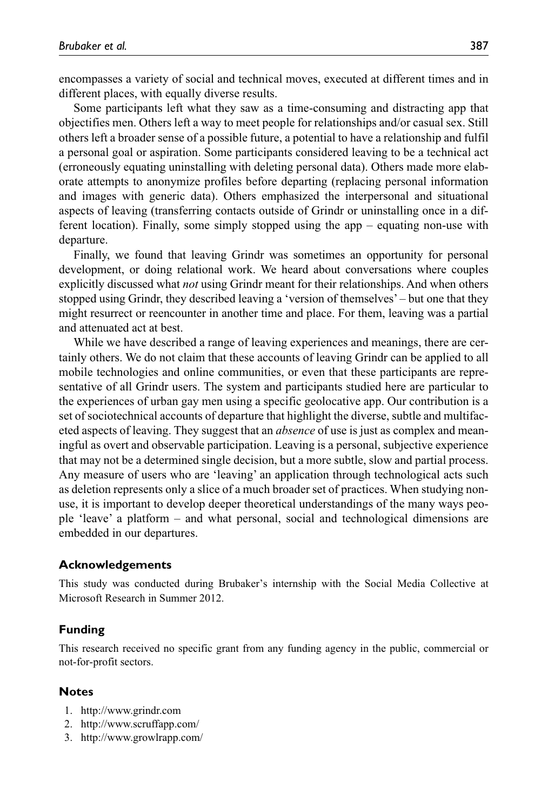encompasses a variety of social and technical moves, executed at different times and in different places, with equally diverse results.

Some participants left what they saw as a time-consuming and distracting app that objectifies men. Others left a way to meet people for relationships and/or casual sex. Still others left a broader sense of a possible future, a potential to have a relationship and fulfil a personal goal or aspiration. Some participants considered leaving to be a technical act (erroneously equating uninstalling with deleting personal data). Others made more elaborate attempts to anonymize profiles before departing (replacing personal information and images with generic data). Others emphasized the interpersonal and situational aspects of leaving (transferring contacts outside of Grindr or uninstalling once in a different location). Finally, some simply stopped using the app – equating non-use with departure.

Finally, we found that leaving Grindr was sometimes an opportunity for personal development, or doing relational work. We heard about conversations where couples explicitly discussed what *not* using Grindr meant for their relationships. And when others stopped using Grindr, they described leaving a 'version of themselves' – but one that they might resurrect or reencounter in another time and place. For them, leaving was a partial and attenuated act at best.

While we have described a range of leaving experiences and meanings, there are certainly others. We do not claim that these accounts of leaving Grindr can be applied to all mobile technologies and online communities, or even that these participants are representative of all Grindr users. The system and participants studied here are particular to the experiences of urban gay men using a specific geolocative app. Our contribution is a set of sociotechnical accounts of departure that highlight the diverse, subtle and multifaceted aspects of leaving. They suggest that an *absence* of use is just as complex and meaningful as overt and observable participation. Leaving is a personal, subjective experience that may not be a determined single decision, but a more subtle, slow and partial process. Any measure of users who are 'leaving' an application through technological acts such as deletion represents only a slice of a much broader set of practices. When studying nonuse, it is important to develop deeper theoretical understandings of the many ways people 'leave' a platform – and what personal, social and technological dimensions are embedded in our departures.

#### **Acknowledgements**

This study was conducted during Brubaker's internship with the Social Media Collective at Microsoft Research in Summer 2012.

#### **Funding**

This research received no specific grant from any funding agency in the public, commercial or not-for-profit sectors.

#### **Notes**

- 1. http://www.grindr.com
- 2. http://www.scruffapp.com/
- 3. http://www.growlrapp.com/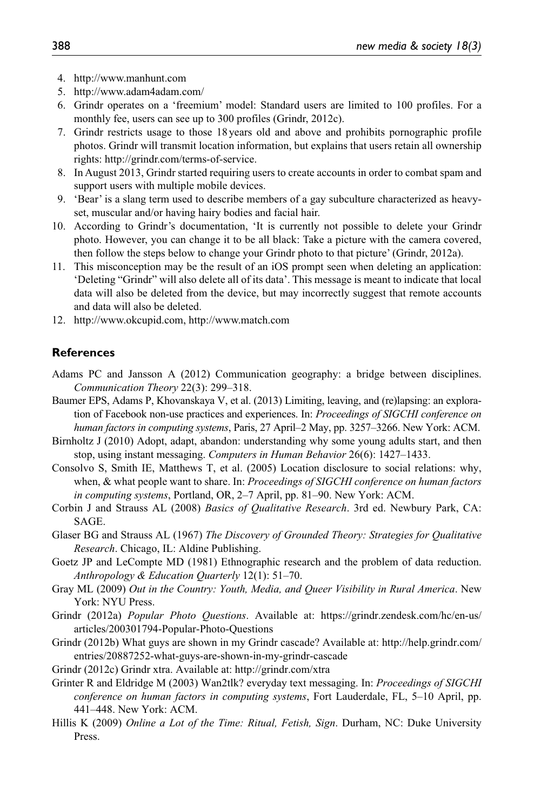- 4. http://www.manhunt.com
- 5. http://www.adam4adam.com/
- 6. Grindr operates on a 'freemium' model: Standard users are limited to 100 profiles. For a monthly fee, users can see up to 300 profiles (Grindr, 2012c).
- 7. Grindr restricts usage to those 18years old and above and prohibits pornographic profile photos. Grindr will transmit location information, but explains that users retain all ownership rights: http://grindr.com/terms-of-service.
- 8. In August 2013, Grindr started requiring users to create accounts in order to combat spam and support users with multiple mobile devices.
- 9. 'Bear' is a slang term used to describe members of a gay subculture characterized as heavyset, muscular and/or having hairy bodies and facial hair.
- 10. According to Grindr's documentation, 'It is currently not possible to delete your Grindr photo. However, you can change it to be all black: Take a picture with the camera covered, then follow the steps below to change your Grindr photo to that picture' (Grindr, 2012a).
- 11. This misconception may be the result of an iOS prompt seen when deleting an application: 'Deleting "Grindr" will also delete all of its data'. This message is meant to indicate that local data will also be deleted from the device, but may incorrectly suggest that remote accounts and data will also be deleted.
- 12. http://www.okcupid.com, http://www.match.com

#### **References**

- Adams PC and Jansson A (2012) Communication geography: a bridge between disciplines. *Communication Theory* 22(3): 299–318.
- Baumer EPS, Adams P, Khovanskaya V, et al. (2013) Limiting, leaving, and (re)lapsing: an exploration of Facebook non-use practices and experiences. In: *Proceedings of SIGCHI conference on human factors in computing systems*, Paris, 27 April–2 May, pp. 3257–3266. New York: ACM.
- Birnholtz J (2010) Adopt, adapt, abandon: understanding why some young adults start, and then stop, using instant messaging. *Computers in Human Behavior* 26(6): 1427–1433.
- Consolvo S, Smith IE, Matthews T, et al. (2005) Location disclosure to social relations: why, when, & what people want to share. In: *Proceedings of SIGCHI conference on human factors in computing systems*, Portland, OR, 2–7 April, pp. 81–90. New York: ACM.
- Corbin J and Strauss AL (2008) *Basics of Qualitative Research*. 3rd ed. Newbury Park, CA: SAGE.
- Glaser BG and Strauss AL (1967) *The Discovery of Grounded Theory: Strategies for Qualitative Research*. Chicago, IL: Aldine Publishing.
- Goetz JP and LeCompte MD (1981) Ethnographic research and the problem of data reduction. *Anthropology & Education Quarterly* 12(1): 51–70.
- Gray ML (2009) *Out in the Country: Youth, Media, and Queer Visibility in Rural America*. New York: NYU Press.
- Grindr (2012a) *Popular Photo Questions*[. Available at: https://grindr.zendesk.com/hc/en-us/](https://grindr.zendesk.com/hc/en-us/articles/200301794-Popular-Photo-Questions) articles/200301794-Popular-Photo-Questions
- Grin[dr \(2012b\) What guys are shown in my Grindr cascade? Available at: http://help.grindr.com/](http://help.grindr.com/entries/20887252-what-guys-are-shown-in-my-grindr-cascade) entries/20887252-what-guys-are-shown-in-my-grindr-cascade
- Grindr (2012c) Grindr xtra. Available at: http://grindr.com/xtra
- Grinter R and Eldridge M (2003) Wan2tlk? everyday text messaging. In: *Proceedings of SIGCHI conference on human factors in computing systems*, Fort Lauderdale, FL, 5–10 April, pp. 441–448. New York: ACM.
- Hillis K (2009) *Online a Lot of the Time: Ritual, Fetish, Sign*. Durham, NC: Duke University Press.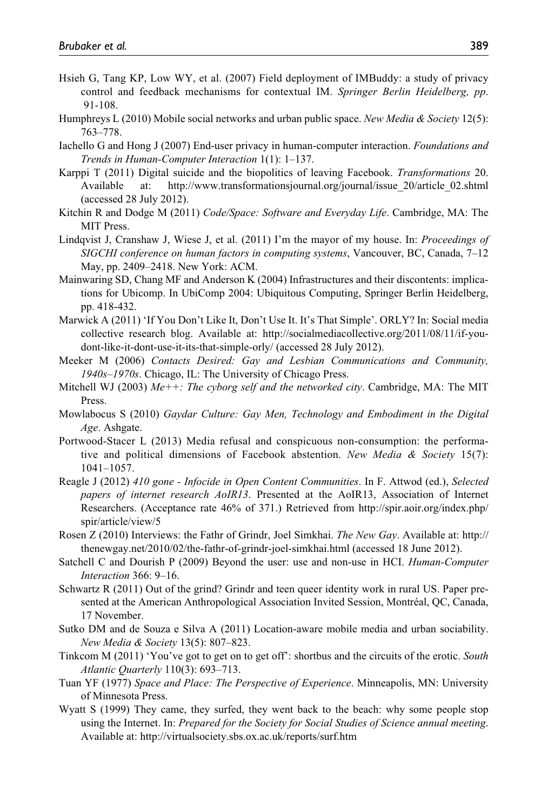- Hsieh G, Tang KP, Low WY, et al. (2007) Field deployment of IMBuddy: a study of privacy control and feedback mechanisms for contextual IM. *Springer Berlin Heidelberg, pp*. 91-108.
- Humphreys L (2010) Mobile social networks and urban public space. *New Media & Society* 12(5): 763–778.
- Iachello G and Hong J (2007) End-user privacy in human-computer interaction. *Foundations and Trends in Human-Computer Interaction* 1(1): 1–137.
- Karppi T (2011) Digital suicide and the biopolitics of leaving Facebook. *Transformations* 20. Available at: http://www.transformationsjournal.org/journal/issue\_20/article\_02.shtml (accessed 28 July 2012).
- Kitchin R and Dodge M (2011) *Code/Space: Software and Everyday Life*. Cambridge, MA: The MIT Press.
- Lindqvist J, Cranshaw J, Wiese J, et al. (2011) I'm the mayor of my house. In: *Proceedings of SIGCHI conference on human factors in computing systems*, Vancouver, BC, Canada, 7–12 May, pp. 2409–2418. New York: ACM.
- Mainwaring SD, Chang MF and Anderson K (2004) Infrastructures and their discontents: implications for Ubicomp. In UbiComp 2004: Ubiquitous Computing, Springer Berlin Heidelberg, pp. 418-432.
- Marwick A (2011) 'If You Don't Like It, Don't Use It. It's That Simple'. ORLY? In: Social media collective research blog. Available at: http://socialmediacollective.org/2011/08/11/if-youdont-like-it-dont-use-it-its-that-simple-orly/ (accessed 28 July 2012).
- Meeker M (2006) *Contacts Desired: Gay and Lesbian Communications and Community, 1940s–1970s*. Chicago, IL: The University of Chicago Press.
- Mitchell WJ (2003) *Me++: The cyborg self and the networked city*. Cambridge, MA: The MIT Press.
- Mowlabocus S (2010) *Gaydar Culture: Gay Men, Technology and Embodiment in the Digital Age*. Ashgate.
- Portwood-Stacer L (2013) Media refusal and conspicuous non-consumption: the performative and political dimensions of Facebook abstention. *New Media & Society* 15(7): 1041–1057.
- Reagle J (2012) *410 gone Infocide in Open Content Communities*. In F. Attwod (ed.), *Selected papers of internet research AoIR13*. Presented at the AoIR13, Association of Internet [Researchers. \(Acceptance rate 46% of 371.\) Retrieved from http://spir.aoir.org/index.php/](http://spir.aoir.org/index.php/spir/article/view/5) spir/article/view/5
- Rosen Z (2010) Interviews: the Fathr of Grindr, Joel Simkhai. *The New Gay*. Available at: http:// thenewgay.net/2010/02/the-fathr-of-grindr-joel-simkhai.html (accessed 18 June 2012).
- Satchell C and Dourish P (2009) Beyond the user: use and non-use in HCI. *Human-Computer Interaction* 366: 9–16.
- Schwartz R (2011) Out of the grind? Grindr and teen queer identity work in rural US. Paper presented at the American Anthropological Association Invited Session, Montréal, QC, Canada, 17 November.
- Sutko DM and de Souza e Silva A (2011) Location-aware mobile media and urban sociability. *New Media & Society* 13(5): 807–823.
- Tinkcom M (2011) 'You've got to get on to get off': shortbus and the circuits of the erotic. *South Atlantic Quarterly* 110(3): 693–713.
- Tuan YF (1977) *Space and Place: The Perspective of Experience*. Minneapolis, MN: University of Minnesota Press.
- Wyatt S (1999) They came, they surfed, they went back to the beach: why some people stop using the Internet. In: *Prepared for the Society for Social Studies of Science annual meeting*. Available at: http://virtualsociety.sbs.ox.ac.uk/reports/surf.htm